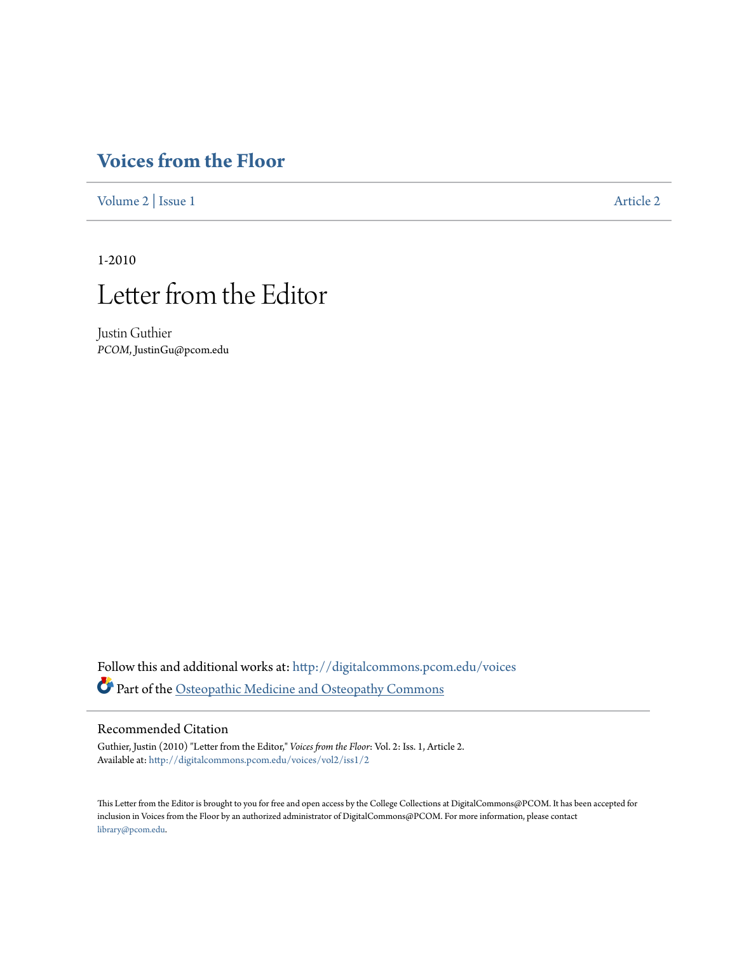## **[Voices from the Floor](http://digitalcommons.pcom.edu/voices?utm_source=digitalcommons.pcom.edu%2Fvoices%2Fvol2%2Fiss1%2F2&utm_medium=PDF&utm_campaign=PDFCoverPages)**

[Volume 2](http://digitalcommons.pcom.edu/voices/vol2?utm_source=digitalcommons.pcom.edu%2Fvoices%2Fvol2%2Fiss1%2F2&utm_medium=PDF&utm_campaign=PDFCoverPages) | [Issue 1](http://digitalcommons.pcom.edu/voices/vol2/iss1?utm_source=digitalcommons.pcom.edu%2Fvoices%2Fvol2%2Fiss1%2F2&utm_medium=PDF&utm_campaign=PDFCoverPages) [Article 2](http://digitalcommons.pcom.edu/voices/vol2/iss1/2?utm_source=digitalcommons.pcom.edu%2Fvoices%2Fvol2%2Fiss1%2F2&utm_medium=PDF&utm_campaign=PDFCoverPages)

1-2010



Justin Guthier *PCOM*, JustinGu@pcom.edu

Follow this and additional works at: [http://digitalcommons.pcom.edu/voices](http://digitalcommons.pcom.edu/voices?utm_source=digitalcommons.pcom.edu%2Fvoices%2Fvol2%2Fiss1%2F2&utm_medium=PDF&utm_campaign=PDFCoverPages) Part of the [Osteopathic Medicine and Osteopathy Commons](http://network.bepress.com/hgg/discipline/697?utm_source=digitalcommons.pcom.edu%2Fvoices%2Fvol2%2Fiss1%2F2&utm_medium=PDF&utm_campaign=PDFCoverPages)

## Recommended Citation

Guthier, Justin (2010) "Letter from the Editor," *Voices from the Floor*: Vol. 2: Iss. 1, Article 2. Available at: [http://digitalcommons.pcom.edu/voices/vol2/iss1/2](http://digitalcommons.pcom.edu/voices/vol2/iss1/2?utm_source=digitalcommons.pcom.edu%2Fvoices%2Fvol2%2Fiss1%2F2&utm_medium=PDF&utm_campaign=PDFCoverPages)

This Letter from the Editor is brought to you for free and open access by the College Collections at DigitalCommons@PCOM. It has been accepted for inclusion in Voices from the Floor by an authorized administrator of DigitalCommons@PCOM. For more information, please contact [library@pcom.edu](mailto:library@pcom.edu).